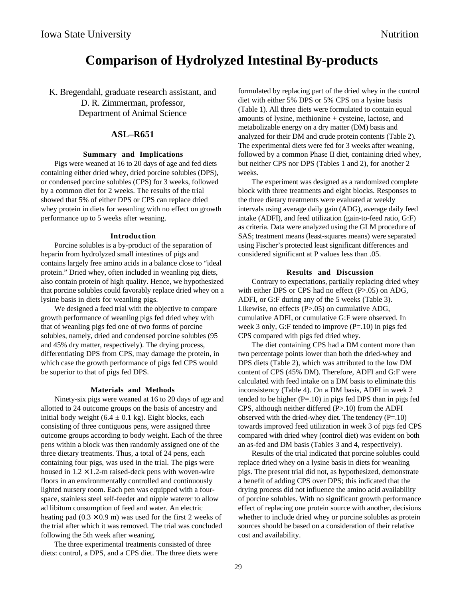# **Comparison of Hydrolyzed Intestinal By-products**

K. Bregendahl, graduate research assistant, and D. R. Zimmerman, professor, Department of Animal Science

# **ASL–R651**

### **Summary and Implications**

Pigs were weaned at 16 to 20 days of age and fed diets containing either dried whey, dried porcine solubles (DPS), or condensed porcine solubles (CPS) for 3 weeks, followed by a common diet for 2 weeks. The results of the trial showed that 5% of either DPS or CPS can replace dried whey protein in diets for weanling with no effect on growth performance up to 5 weeks after weaning.

#### **Introduction**

Porcine solubles is a by-product of the separation of heparin from hydrolyzed small intestines of pigs and contains largely free amino acids in a balance close to "ideal protein." Dried whey, often included in weanling pig diets, also contain protein of high quality. Hence, we hypothesized that porcine solubles could favorably replace dried whey on a lysine basis in diets for weanling pigs.

We designed a feed trial with the objective to compare growth performance of weanling pigs fed dried whey with that of weanling pigs fed one of two forms of porcine solubles, namely, dried and condensed porcine solubles (95 and 45% dry matter, respectively). The drying process, differentiating DPS from CPS, may damage the protein, in which case the growth performance of pigs fed CPS would be superior to that of pigs fed DPS.

#### **Materials and Methods**

Ninety-six pigs were weaned at 16 to 20 days of age and allotted to 24 outcome groups on the basis of ancestry and initial body weight  $(6.4 \pm 0.1 \text{ kg})$ . Eight blocks, each consisting of three contiguous pens, were assigned three outcome groups according to body weight. Each of the three pens within a block was then randomly assigned one of the three dietary treatments. Thus, a total of 24 pens, each containing four pigs, was used in the trial. The pigs were housed in  $1.2 \times 1.2$ -m raised-deck pens with woven-wire floors in an environmentally controlled and continuously lighted nursery room. Each pen was equipped with a fourspace, stainless steel self-feeder and nipple waterer to allow ad libitum consumption of feed and water. An electric heating pad  $(0.3 \times 0.9 \text{ m})$  was used for the first 2 weeks of the trial after which it was removed. The trial was concluded following the 5th week after weaning.

The three experimental treatments consisted of three diets: control, a DPS, and a CPS diet. The three diets were formulated by replacing part of the dried whey in the control diet with either 5% DPS or 5% CPS on a lysine basis (Table 1). All three diets were formulated to contain equal amounts of lysine, methionine + cysteine, lactose, and metabolizable energy on a dry matter (DM) basis and analyzed for their DM and crude protein contents (Table 2). The experimental diets were fed for 3 weeks after weaning, followed by a common Phase II diet, containing dried whey, but neither CPS nor DPS (Tables 1 and 2), for another 2 weeks.

The experiment was designed as a randomized complete block with three treatments and eight blocks. Responses to the three dietary treatments were evaluated at weekly intervals using average daily gain (ADG), average daily feed intake (ADFI), and feed utilization (gain-to-feed ratio, G:F) as criteria. Data were analyzed using the GLM procedure of SAS; treatment means (least-squares means) were separated using Fischer's protected least significant differences and considered significant at P values less than .05.

#### **Results and Discussion**

Contrary to expectations, partially replacing dried whey with either DPS or CPS had no effect (P>.05) on ADG, ADFI, or G:F during any of the 5 weeks (Table 3). Likewise, no effects (P>.05) on cumulative ADG, cumulative ADFI, or cumulative G:F were observed. In week 3 only, G:F tended to improve  $(P=.10)$  in pigs fed CPS compared with pigs fed dried whey.

The diet containing CPS had a DM content more than two percentage points lower than both the dried-whey and DPS diets (Table 2), which was attributed to the low DM content of CPS (45% DM). Therefore, ADFI and G:F were calculated with feed intake on a DM basis to eliminate this inconsistency (Table 4). On a DM basis, ADFI in week 2 tended to be higher  $(P=.10)$  in pigs fed DPS than in pigs fed CPS, although neither differed (P>.10) from the ADFI observed with the dried-whey diet. The tendency  $(P=10)$ towards improved feed utilization in week 3 of pigs fed CPS compared with dried whey (control diet) was evident on both an as-fed and DM basis (Tables 3 and 4, respectively).

Results of the trial indicated that porcine solubles could replace dried whey on a lysine basis in diets for weanling pigs. The present trial did not, as hypothesized, demonstrate a benefit of adding CPS over DPS; this indicated that the drying process did not influence the amino acid availability of porcine solubles. With no significant growth performance effect of replacing one protein source with another, decisions whether to include dried whey or porcine solubles as protein sources should be based on a consideration of their relative cost and availability.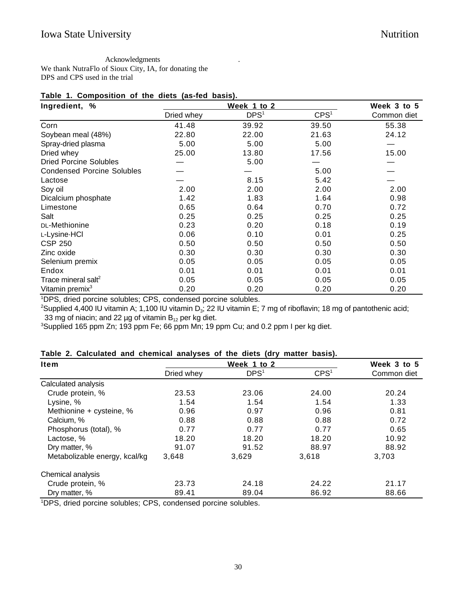Acknowledgments . We thank NutraFlo of Sioux City, IA, for donating the DPS and CPS used in the trial

## **Table 1. Composition of the diets (as-fed basis).**

| Ingredient, %                     |            | Week 3 to 5      |                  |             |
|-----------------------------------|------------|------------------|------------------|-------------|
|                                   | Dried whey | DPS <sup>1</sup> | CPS <sup>1</sup> | Common diet |
| Corn                              | 41.48      | 39.92            | 39.50            | 55.38       |
| Soybean meal (48%)                | 22.80      | 22.00            | 21.63            | 24.12       |
| Spray-dried plasma                | 5.00       | 5.00             | 5.00             |             |
| Dried whey                        | 25.00      | 13.80            | 17.56            | 15.00       |
| <b>Dried Porcine Solubles</b>     |            | 5.00             |                  |             |
| <b>Condensed Porcine Solubles</b> |            |                  | 5.00             |             |
| Lactose                           |            | 8.15             | 5.42             |             |
| Soy oil                           | 2.00       | 2.00             | 2.00             | 2.00        |
| Dicalcium phosphate               | 1.42       | 1.83             | 1.64             | 0.98        |
| Limestone                         | 0.65       | 0.64             | 0.70             | 0.72        |
| Salt                              | 0.25       | 0.25             | 0.25             | 0.25        |
| DL-Methionine                     | 0.23       | 0.20             | 0.18             | 0.19        |
| L-Lysine-HCI                      | 0.06       | 0.10             | 0.01             | 0.25        |
| <b>CSP 250</b>                    | 0.50       | 0.50             | 0.50             | 0.50        |
| Zinc oxide                        | 0.30       | 0.30             | 0.30             | 0.30        |
| Selenium premix                   | 0.05       | 0.05             | 0.05             | 0.05        |
| Endox                             | 0.01       | 0.01             | 0.01             | 0.01        |
| Trace mineral salt <sup>2</sup>   | 0.05       | 0.05             | 0.05             | 0.05        |
| Vitamin premix <sup>3</sup>       | 0.20       | 0.20             | 0.20             | 0.20        |

1 DPS, dried porcine solubles; CPS, condensed porcine solubles.

<sup>2</sup>Supplied 4,400 IU vitamin A; 1,100 IU vitamin D<sub>3</sub>; 22 IU vitamin E; 7 mg of riboflavin; 18 mg of pantothenic acid; 33 mg of niacin; and 22 µg of vitamin  $B_{12}$  per kg diet.

<sup>3</sup>Supplied 165 ppm Zn; 193 ppm Fe; 66 ppm Mn; 19 ppm Cu; and 0.2 ppm I per kg diet.

# **Table 2. Calculated and chemical analyses of the diets (dry matter basis).**

| <b>Item</b>                   |            | Week 3 to 5                     |                  |             |
|-------------------------------|------------|---------------------------------|------------------|-------------|
|                               | Dried whey | Week 1 to 2<br>DPS <sup>1</sup> | CPS <sup>1</sup> | Common diet |
| Calculated analysis           |            |                                 |                  |             |
| Crude protein, %              | 23.53      | 23.06                           | 24.00            | 20.24       |
| Lysine, %                     | 1.54       | 1.54                            | 1.54             | 1.33        |
| Methionine + cysteine, %      | 0.96       | 0.97                            | 0.96             | 0.81        |
| Calcium, %                    | 0.88       | 0.88                            | 0.88             | 0.72        |
| Phosphorus (total), %         | 0.77       | 0.77                            | 0.77             | 0.65        |
| Lactose, %                    | 18.20      | 18.20                           | 18.20            | 10.92       |
| Dry matter, %                 | 91.07      | 91.52                           | 88.97            | 88.92       |
| Metabolizable energy, kcal/kg | 3,648      | 3.629                           | 3,618            | 3,703       |
| Chemical analysis             |            |                                 |                  |             |
| Crude protein, %              | 23.73      | 24.18                           | 24.22            | 21.17       |
| Dry matter, %                 | 89.41      | 89.04                           | 86.92            | 88.66       |

1 DPS, dried porcine solubles; CPS, condensed porcine solubles.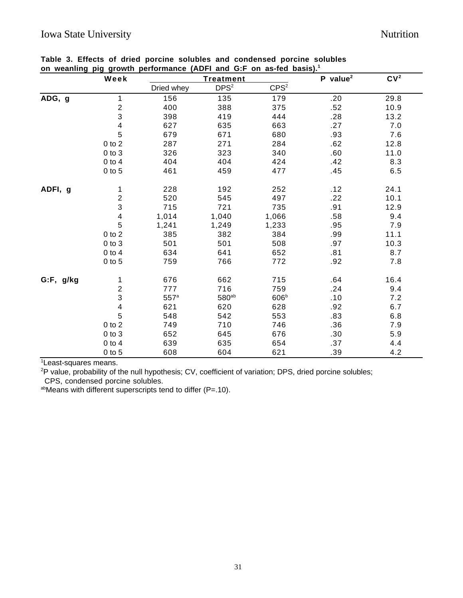|           | Week                    | <b>Treatment</b> |                  |                  | $P$ value <sup>2</sup> | CV <sup>2</sup> |
|-----------|-------------------------|------------------|------------------|------------------|------------------------|-----------------|
|           |                         | Dried whey       | DPS <sup>2</sup> | CPS <sup>2</sup> |                        |                 |
| ADG, g    | 1                       | 156              | 135              | 179              | .20                    | 29.8            |
|           | $\overline{c}$          | 400              | 388              | 375              | .52                    | 10.9            |
|           | 3                       | 398              | 419              | 444              | .28                    | 13.2            |
|           | $\overline{\mathbf{4}}$ | 627              | 635              | 663              | .27                    | 7.0             |
|           | 5                       | 679              | 671              | 680              | .93                    | 7.6             |
|           | $0$ to $2\,$            | 287              | 271              | 284              | .62                    | 12.8            |
|           | $0$ to $3$              | 326              | 323              | 340              | .60                    | 11.0            |
|           | $0$ to $4$              | 404              | 404              | 424              | .42                    | 8.3             |
|           | $0$ to $5$              | 461              | 459              | 477              | .45                    | 6.5             |
| ADFI, g   | 1                       | 228              | 192              | 252              | .12                    | 24.1            |
|           | $\overline{c}$          | 520              | 545              | 497              | .22                    | 10.1            |
|           | 3                       | 715              | 721              | 735              | .91                    | 12.9            |
|           | 4                       | 1,014            | 1,040            | 1,066            | .58                    | 9.4             |
|           | 5                       | 1,241            | 1,249            | 1,233            | .95                    | 7.9             |
|           | $0$ to $2$              | 385              | 382              | 384              | .99                    | 11.1            |
|           | $0$ to $3$              | 501              | 501              | 508              | .97                    | 10.3            |
|           | $0$ to $4$              | 634              | 641              | 652              | .81                    | 8.7             |
|           | $0$ to $5$              | 759              | 766              | 772              | .92                    | 7.8             |
| G:F, g/kg | 1                       | 676              | 662              | 715              | .64                    | 16.4            |
|           | $\overline{2}$          | 777              | 716              | 759              | .24                    | 9.4             |
|           | 3                       | 557 <sup>a</sup> | $580^{ab}$       | 606 <sup>b</sup> | .10                    | 7.2             |
|           | $\overline{\mathbf{4}}$ | 621              | 620              | 628              | .92                    | 6.7             |
|           | 5                       | 548              | 542              | 553              | .83                    | 6.8             |
|           | $0$ to $2\,$            | 749              | 710              | 746              | .36                    | 7.9             |
|           | $0$ to $3$              | 652              | 645              | 676              | .30                    | 5.9             |
|           | $0$ to $4$              | 639              | 635              | 654              | .37                    | 4.4             |
|           | $0$ to $5$              | 608              | 604              | 621              | .39                    | 4.2             |

1 Least-squares means.

<sup>2</sup>P value, probability of the null hypothesis; CV, coefficient of variation; DPS, dried porcine solubles;

CPS, condensed porcine solubles.

abMeans with different superscripts tend to differ  $(P=.10)$ .